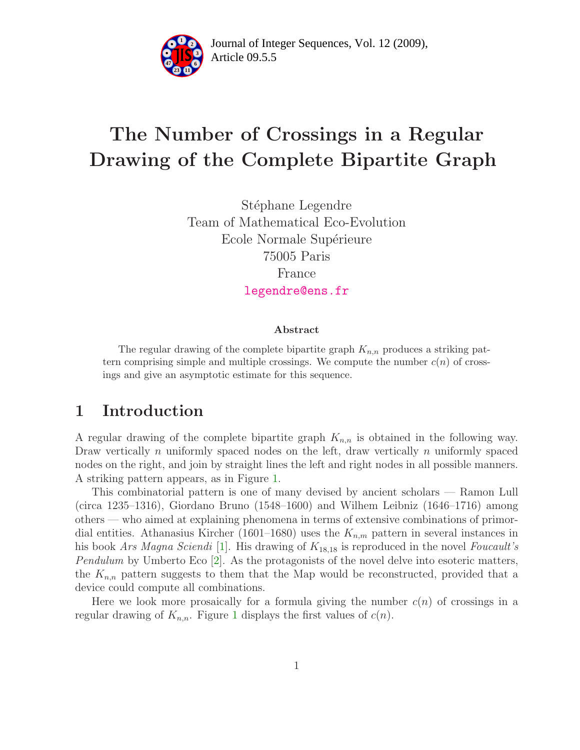

Article 09.5.5 **<sup>2</sup>** Journal of Integer Sequences, Vol. 12 (2009),

# The Number of Crossings in a Regular Drawing of the Complete Bipartite Graph

Stéphane Legendre Team of Mathematical Eco-Evolution Ecole Normale Supérieure 75005 Paris France [legendre@ens.fr](mailto:legendre@ens.fr)

#### Abstract

The regular drawing of the complete bipartite graph  $K_{n,n}$  produces a striking pattern comprising simple and multiple crossings. We compute the number  $c(n)$  of crossings and give an asymptotic estimate for this sequence.

### 1 Introduction

A regular drawing of the complete bipartite graph  $K_{n,n}$  is obtained in the following way. Draw vertically n uniformly spaced nodes on the left, draw vertically n uniformly spaced nodes on the right, and join by straight lines the left and right nodes in all possible manners. A striking pattern appears, as in Figure [1.](#page-1-0)

This combinatorial pattern is one of many devised by ancient scholars — Ramon Lull (circa 1235–1316), Giordano Bruno (1548–1600) and Wilhem Leibniz (1646–1716) among others — who aimed at explaining phenomena in terms of extensive combinations of primordial entities. Athanasius Kircher (1601–1680) uses the  $K_{n,m}$  pattern in several instances in his book Ars Magna Sciendi [\[1\]](#page-7-0). His drawing of  $K_{18,18}$  is reproduced in the novel Foucault's Pendulum by Umberto Eco [\[2\]](#page-7-1). As the protagonists of the novel delve into esoteric matters, the  $K_{n,n}$  pattern suggests to them that the Map would be reconstructed, provided that a device could compute all combinations.

Here we look more prosaically for a formula giving the number  $c(n)$  of crossings in a regular drawing of  $K_{n,n}$ . Figure [1](#page-1-0) displays the first values of  $c(n)$ .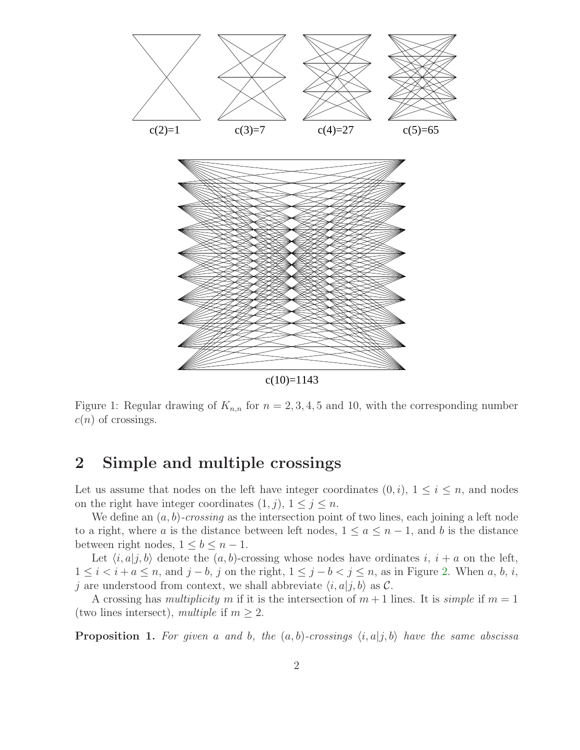

<span id="page-1-0"></span>Figure 1: Regular drawing of  $K_{n,n}$  for  $n = 2, 3, 4, 5$  and 10, with the corresponding number  $c(n)$  of crossings.

## 2 Simple and multiple crossings

Let us assume that nodes on the left have integer coordinates  $(0, i)$ ,  $1 \leq i \leq n$ , and nodes on the right have integer coordinates  $(1, j)$ ,  $1 \leq j \leq n$ .

We define an  $(a, b)$ -crossing as the intersection point of two lines, each joining a left node to a right, where a is the distance between left nodes,  $1 \le a \le n-1$ , and b is the distance between right nodes,  $1 \leq b \leq n-1$ .

Let  $\langle i, a|j, b \rangle$  denote the  $(a, b)$ -crossing whose nodes have ordinates  $i, i + a$  on the left,  $1 \leq i < i + a \leq n$ , and  $j - b$ , j on the right,  $1 \leq j - b < j \leq n$ , as in Figure [2.](#page-2-0) When a, b, i, j are understood from context, we shall abbreviate  $\langle i, a|j, b \rangle$  as C.

<span id="page-1-1"></span>A crossing has *multiplicity* m if it is the intersection of  $m + 1$  lines. It is *simple* if  $m = 1$ (two lines intersect), multiple if  $m \geq 2$ .

**Proposition 1.** For given a and b, the  $(a, b)$ -crossings  $\langle i, a | j, b \rangle$  have the same abscissa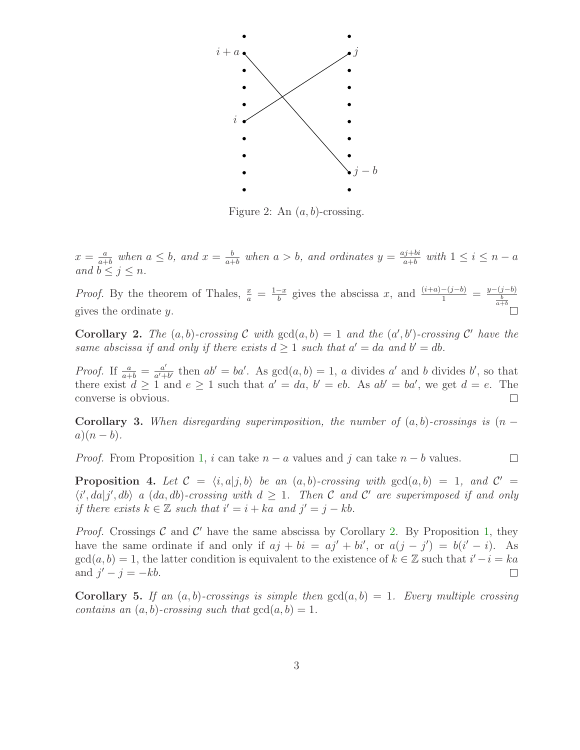

<span id="page-2-0"></span>Figure 2: An  $(a, b)$ -crossing.

 $x=\frac{a}{a^+}$  $\frac{a}{a+b}$  when  $a \leq b$ , and  $x = \frac{b}{a+b}$  $\frac{b}{a+b}$  when  $a > b$ , and ordinates  $y = \frac{aj+bi}{a+b}$  $\frac{a+b}{a+b}$  with  $1 \leq i \leq n-a$ and  $b \leq j \leq n$ .

*Proof.* By the theorem of Thales,  $\frac{x}{a} = \frac{1-x}{b}$  $\frac{-x}{b}$  gives the abscissa x, and  $\frac{(i+a)-(j-b)}{1} = \frac{y-(j-b)}{\frac{b}{a+b}}$ gives the ordinate y.

<span id="page-2-1"></span>**Corollary 2.** The  $(a, b)$ -crossing C with  $gcd(a, b) = 1$  and the  $(a', b')$ -crossing C' have the same abscissa if and only if there exists  $d \geq 1$  such that  $a' = da$  and  $b' = db$ .

*Proof.* If  $\frac{a}{a+b} = \frac{a'}{a'+b}$  $\frac{a'}{a'+b'}$  then  $ab' = ba'$ . As  $gcd(a, b) = 1$ , a divides a' and b divides b', so that there exist  $d \geq 1$  and  $e \geq 1$  such that  $a' = da$ ,  $b' = eb$ . As  $ab' = ba'$ , we get  $d = e$ . The converse is obvious.  $\Box$ 

<span id="page-2-4"></span>Corollary 3. When disregarding superimposition, the number of  $(a, b)$ -crossings is  $(n - b)$  $a)(n-b).$ 

<span id="page-2-2"></span>*Proof.* From Proposition [1,](#page-1-1) i can take  $n - a$  values and j can take  $n - b$  values.  $\Box$ 

**Proposition 4.** Let  $C = \langle i, a | j, b \rangle$  be an  $(a, b)$ -crossing with  $gcd(a, b) = 1$ , and  $C' =$  $\langle i', da | j', db \rangle$  a  $(da, db)$ -crossing with  $d \geq 1$ . Then C and C' are superimposed if and only if there exists  $k \in \mathbb{Z}$  such that  $i' = i + ka$  and  $j' = j - kb$ .

*Proof.* Crossings  $C$  and  $C'$  have the same abscissa by Corollary [2.](#page-2-1) By Proposition [1,](#page-1-1) they have the same ordinate if and only if  $aj + bi = aj' + bi'$ , or  $a(j - j') = b(i' - i)$ . As  $gcd(a, b) = 1$ , the latter condition is equivalent to the existence of  $k \in \mathbb{Z}$  such that  $i' - i = ka$ and  $j'-j=-kb$ .

<span id="page-2-3"></span>**Corollary 5.** If an  $(a, b)$ -crossings is simple then  $gcd(a, b) = 1$ . Every multiple crossing contains an  $(a, b)$ -crossing such that  $gcd(a, b) = 1$ .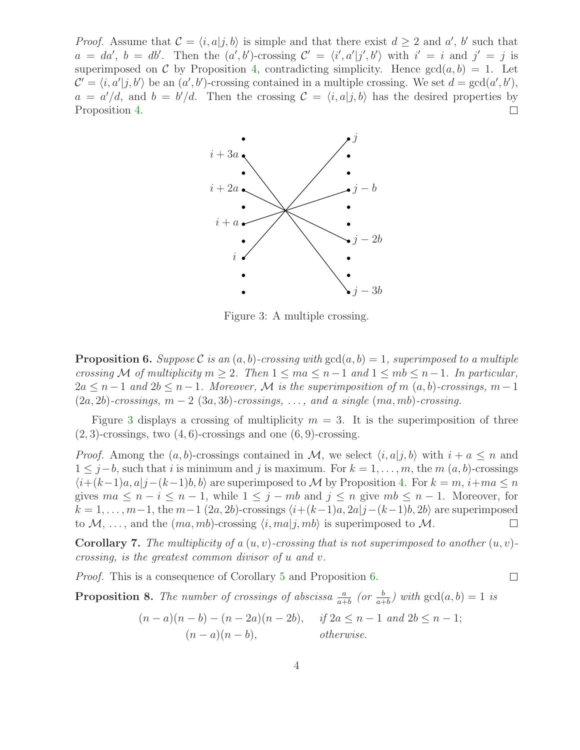*Proof.* Assume that  $\mathcal{C} = \langle i, a | j, b \rangle$  is simple and that there exist  $d \geq 2$  and  $a'$ , b' such that  $a = da', b = db'.$  Then the  $(a', b')$ -crossing  $C' = \langle i', a'|j', b'\rangle$  with  $i' = i$  and  $j' = j$  is superimposed on C by Proposition [4,](#page-2-2) contradicting simplicity. Hence  $gcd(a, b) = 1$ . Let  $\mathcal{C}' = \langle i, a'|j, b'\rangle$  be an  $(a', b')$ -crossing contained in a multiple crossing. We set  $d = \gcd(a', b')$ ,  $a = a'/d$ , and  $b = b'/d$ . Then the crossing  $C = \langle i, a | j, b \rangle$  has the desired properties by Proposition [4.](#page-2-2)



<span id="page-3-0"></span>Figure 3: A multiple crossing.

<span id="page-3-1"></span>**Proposition 6.** Suppose C is an  $(a, b)$ -crossing with  $gcd(a, b) = 1$ , superimposed to a multiple crossing M of multiplicity  $m \geq 2$ . Then  $1 \leq ma \leq n-1$  and  $1 \leq mb \leq n-1$ . In particular,  $2a \leq n-1$  and  $2b \leq n-1$ . Moreover, M is the superimposition of m  $(a, b)$ -crossings, m -1  $(2a, 2b)$ -crossings,  $m - 2$   $(3a, 3b)$ -crossings, ..., and a single  $(ma, mb)$ -crossing.

Figure [3](#page-3-0) displays a crossing of multiplicity  $m = 3$ . It is the superimposition of three  $(2, 3)$ -crossings, two  $(4, 6)$ -crossings and one  $(6, 9)$ -crossing.

*Proof.* Among the  $(a, b)$ -crossings contained in M, we select  $\langle i, a|j, b \rangle$  with  $i + a \leq n$  and  $1 \leq j-b$ , such that i is minimum and j is maximum. For  $k = 1, \ldots, m$ , the m  $(a, b)$ -crossings  $\langle i+(k-1)a, a|j-(k-1)b, b\rangle$  are superimposed to M by Proposition [4.](#page-2-2) For  $k = m, i+m a \leq n$ gives  $ma \leq n - i \leq n - 1$ , while  $1 \leq j - mb$  and  $j \leq n$  give  $mb \leq n - 1$ . Moreover, for  $k = 1, \ldots, m-1$ , the  $m-1$  (2a, 2b)-crossings  $\langle i+(k-1)a, 2a|j-(k-1)b, 2b \rangle$  are superimposed to  $\mathcal{M}, \ldots$ , and the  $(ma, mb)$ -crossing  $\langle i, ma|j, mb \rangle$  is superimposed to  $\mathcal{M}.$ to  $\mathcal{M}, \ldots$ , and the  $(ma, mb)$ -crossing  $\langle i, ma|j, mb \rangle$  is superimposed to  $\mathcal{M}$ .

<span id="page-3-3"></span>**Corollary 7.** The multiplicity of a  $(u, v)$ -crossing that is not superimposed to another  $(u, v)$ crossing, is the greatest common divisor of u and v.

 $\Box$ 

<span id="page-3-2"></span>Proof. This is a consequence of Corollary [5](#page-2-3) and Proposition [6.](#page-3-1)

**Proposition 8.** The number of crossings of abscissa  $\frac{a}{a+b}$  (or  $\frac{b}{a+b}$ ) with  $gcd(a, b) = 1$  is

$$
(n-a)(n-b) - (n-2a)(n-2b), \quad \text{if } 2a \le n-1 \text{ and } 2b \le n-1;
$$
  

$$
(n-a)(n-b), \quad \text{otherwise.}
$$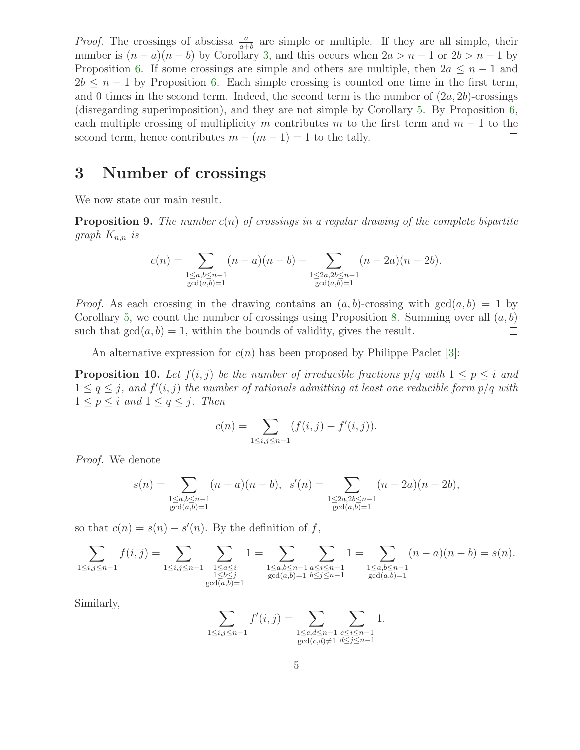*Proof.* The crossings of abscissa  $\frac{a}{a+b}$  are simple or multiple. If they are all simple, their number is  $(n - a)(n - b)$  by Corollary [3,](#page-2-4) and this occurs when  $2a > n - 1$  or  $2b > n - 1$  by Proposition [6.](#page-3-1) If some crossings are simple and others are multiple, then  $2a \leq n-1$  and  $2b \leq n-1$  by Proposition [6.](#page-3-1) Each simple crossing is counted one time in the first term, and 0 times in the second term. Indeed, the second term is the number of  $(2a, 2b)$ -crossings (disregarding superimposition), and they are not simple by Corollary [5.](#page-2-3) By Proposition [6,](#page-3-1) each multiple crossing of multiplicity m contributes m to the first term and  $m - 1$  to the second term, hence contributes  $m - (m - 1) = 1$  to the tally. second term, hence contributes  $m - (m - 1) = 1$  to the tally.

# 3 Number of crossings

We now state our main result.

**Proposition 9.** The number  $c(n)$  of crossings in a regular drawing of the complete bipartite graph  $K_{n,n}$  is

$$
c(n) = \sum_{\substack{1 \le a,b \le n-1 \\ \gcd(a,b)=1}} (n-a)(n-b) - \sum_{\substack{1 \le 2a,2b \le n-1 \\ \gcd(a,b)=1}} (n-2a)(n-2b).
$$

*Proof.* As each crossing in the drawing contains an  $(a, b)$ -crossing with  $gcd(a, b) = 1$  by Corollary [5,](#page-2-3) we count the number of crossings using Proposition [8.](#page-3-2) Summing over all  $(a, b)$ such that  $gcd(a, b) = 1$ , within the bounds of validity, gives the result.  $\Box$ 

An alternative expression for  $c(n)$  has been proposed by Philippe Paclet [\[3\]](#page-7-2):

**Proposition 10.** Let  $f(i, j)$  be the number of irreducible fractions  $p/q$  with  $1 \leq p \leq i$  and  $1 \leq q \leq j$ , and  $f'(i, j)$  the number of rationals admitting at least one reducible form  $p/q$  with  $1 \leq p \leq i$  and  $1 \leq q \leq j$ . Then

$$
c(n) = \sum_{1 \le i, j \le n-1} (f(i, j) - f'(i, j)).
$$

Proof. We denote

$$
s(n) = \sum_{\substack{1 \le a,b \le n-1 \\ \gcd(a,b)=1}} (n-a)(n-b), \quad s'(n) = \sum_{\substack{1 \le 2a,2b \le n-1 \\ \gcd(a,b)=1}} (n-2a)(n-2b),
$$

so that  $c(n) = s(n) - s'(n)$ . By the definition of f,

$$
\sum_{1 \le i,j \le n-1} f(i,j) = \sum_{\substack{1 \le i,j \le n-1 \\ 1 \le b \le j \\ \gcd(a,b)=1}} 1 = \sum_{\substack{1 \le a \le i \\ 1 \le b \le j \\ \gcd(a,b)=1}} 1 = \sum_{\substack{1 \le a,b \le n-1 \\ a \le i \le n-1 \\ \gcd(a,b)=1}} 1 = \sum_{\substack{1 \le a,b \le n-1 \\ 1 \le a,b \le n-1 \\ \gcd(a,b)=1}} (n-a)(n-b) = s(n).
$$

Similarly,

$$
\sum_{1 \le i,j \le n-1} f'(i,j) = \sum_{\substack{1 \le c,d \le n-1 \\ \gcd(c,d) \ne 1}} \sum_{\substack{c \le i \le n-1 \\ d \le j \le n-1}} 1.
$$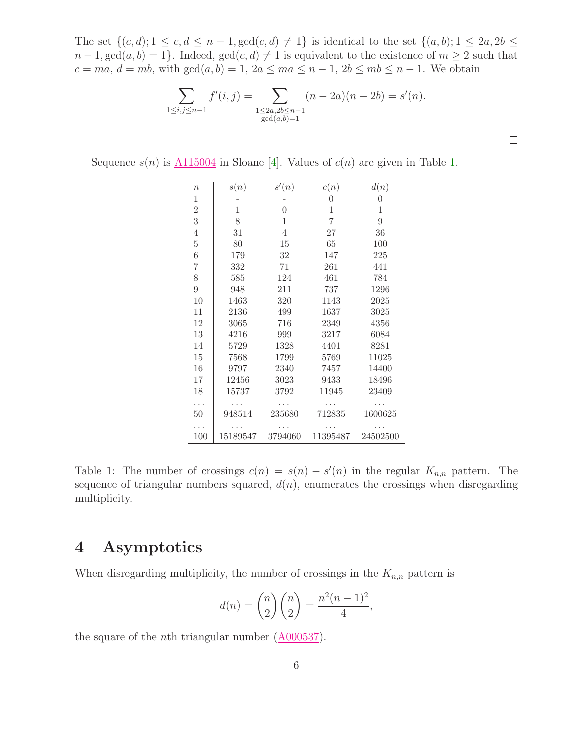The set  $\{(c, d); 1 \leq c, d \leq n-1, \gcd(c, d) \neq 1\}$  is identical to the set  $\{(a, b); 1 \leq 2a, 2b \leq 2b\}$  $n-1, \gcd(a, b) = 1$ . Indeed,  $\gcd(c, d) \neq 1$  is equivalent to the existence of  $m \geq 2$  such that  $c = ma, d = mb$ , with  $gcd(a, b) = 1, 2a \leq ma \leq n - 1, 2b \leq mb \leq n - 1$ . We obtain

$$
\sum_{1 \le i,j \le n-1} f'(i,j) = \sum_{\substack{1 \le 2a, 2b \le n-1 \\ \gcd(a,b)=1}} (n-2a)(n-2b) = s'(n).
$$

 $\Box$ 

Sequence  $s(n)$  is  $\Lambda$ 115004 in Sloane [\[4\]](#page-7-3). Values of  $c(n)$  are given in Table [1.](#page-5-0)

| $\it{n}$       | s(n)     | s'(n)          | c(n)         | d(n)     |
|----------------|----------|----------------|--------------|----------|
| $\mathbf 1$    |          |                | 0            | 0        |
| $\overline{2}$ | 1        | $\overline{0}$ | $\mathbf{1}$ | 1        |
| 3              | 8        | $\mathbf{1}$   | 7            | 9        |
| 4              | 31       | $\overline{4}$ | 27           | 36       |
| $\overline{5}$ | 80       | 15             | 65           | 100      |
| 6              | 179      | 32             | 147          | 225      |
| 7              | 332      | 71             | 261          | 441      |
| 8              | 585      | 124            | 461          | 784      |
| 9              | 948      | 211            | 737          | 1296     |
| 10             | 1463     | 320            | 1143         | 2025     |
| 11             | 2136     | 499            | 1637         | 3025     |
| 12             | 3065     | 716            | 2349         | 4356     |
| 13             | 4216     | 999            | 3217         | 6084     |
| 14             | 5729     | 1328           | 4401         | 8281     |
| 15             | 7568     | 1799           | 5769         | 11025    |
| 16             | 9797     | 2340           | 7457         | 14400    |
| 17             | 12456    | 3023           | 9433         | 18496    |
| 18             | 15737    | 3792           | 11945        | 23409    |
|                |          |                |              |          |
| 50             | 948514   | 235680         | 712835       | 1600625  |
|                |          |                |              |          |
| 100            | 15189547 | 3794060        | 11395487     | 24502500 |

<span id="page-5-0"></span>Table 1: The number of crossings  $c(n) = s(n) - s'(n)$  in the regular  $K_{n,n}$  pattern. The sequence of triangular numbers squared,  $d(n)$ , enumerates the crossings when disregarding multiplicity.

### 4 Asymptotics

When disregarding multiplicity, the number of crossings in the  $K_{n,n}$  pattern is

$$
d(n) = \binom{n}{2} \binom{n}{2} = \frac{n^2(n-1)^2}{4},
$$

<span id="page-5-1"></span>the square of the nth triangular number [\(A000537\)](http://www.research.att.com/cgi-bin/access.cgi/as/~njas/sequences/eisA.cgi?Anum=A000537).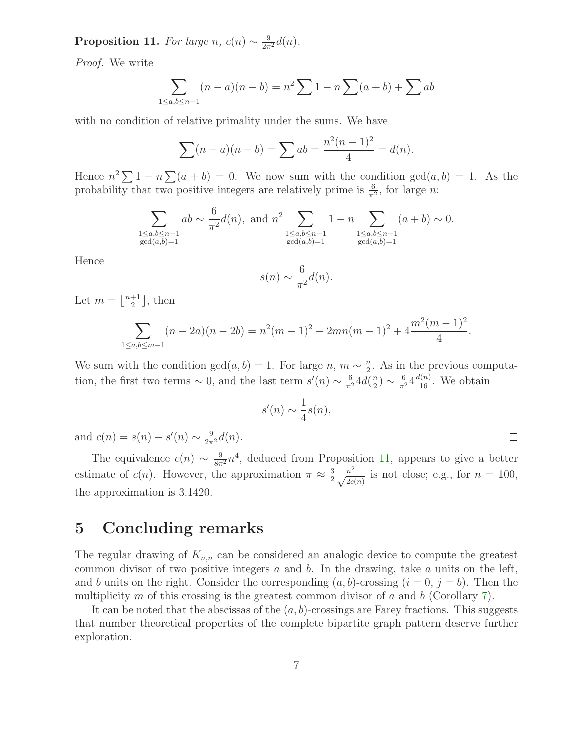**Proposition 11.** For large n,  $c(n) \sim \frac{9}{2\pi^2}d(n)$ .

Proof. We write

$$
\sum_{1 \le a,b \le n-1} (n-a)(n-b) = n^2 \sum 1 - n \sum (a+b) + \sum ab
$$

with no condition of relative primality under the sums. We have

$$
\sum (n - a)(n - b) = \sum ab = \frac{n^2(n - 1)^2}{4} = d(n).
$$

Hence  $n^2 \sum 1 - n \sum (a + b) = 0$ . We now sum with the condition  $gcd(a, b) = 1$ . As the probability that two positive integers are relatively prime is  $\frac{6}{\pi^2}$ , for large *n*:

$$
\sum_{\substack{1 \le a,b \le n-1 \\ \gcd(a,b)=1}} ab \sim \frac{6}{\pi^2} d(n), \text{ and } n^2 \sum_{\substack{1 \le a,b \le n-1 \\ \gcd(a,b)=1}} 1 - n \sum_{\substack{1 \le a,b \le n-1 \\ \gcd(a,b)=1}} (a+b) \sim 0.
$$

Hence

$$
s(n) \sim \frac{6}{\pi^2} d(n).
$$

Let  $m = \lfloor \frac{n+1}{2} \rfloor$  $\frac{+1}{2}$ , then

$$
\sum_{1 \le a,b \le m-1} (n-2a)(n-2b) = n^2(m-1)^2 - 2mn(m-1)^2 + 4\frac{m^2(m-1)^2}{4}.
$$

We sum with the condition  $gcd(a, b) = 1$ . For large  $n, m \sim \frac{n}{2}$  $\frac{n}{2}$ . As in the previous computation, the first two terms  $\sim 0$ , and the last term  $s'(n) \sim \frac{6}{\pi^2} 4d(\frac{n}{2})$  $\frac{n}{2}) \sim \frac{6}{\pi^2} 4 \frac{d(n)}{16}$ . We obtain

$$
s'(n) \sim \frac{1}{4}s(n),
$$

 $\Box$ 

and  $c(n) = s(n) - s'(n) \sim \frac{9}{2\pi^2} d(n)$ .

The equivalence  $c(n) \sim \frac{9}{8\pi^2} n^4$ , deduced from Proposition [11,](#page-5-1) appears to give a better estimate of  $c(n)$ . However, the approximation  $\pi \approx \frac{3}{2}$ 2  $\frac{n^2}{\sqrt{2c(n)}}$  is not close; e.g., for  $n = 100$ , the approximation is 3.1420.

#### 5 Concluding remarks

The regular drawing of  $K_{n,n}$  can be considered an analogic device to compute the greatest common divisor of two positive integers  $a$  and  $b$ . In the drawing, take  $a$  units on the left, and b units on the right. Consider the corresponding  $(a, b)$ -crossing  $(i = 0, j = b)$ . Then the multiplicity m of this crossing is the greatest common divisor of a and b (Corollary [7\)](#page-3-3).

It can be noted that the abscissas of the  $(a, b)$ -crossings are Farey fractions. This suggests that number theoretical properties of the complete bipartite graph pattern deserve further exploration.